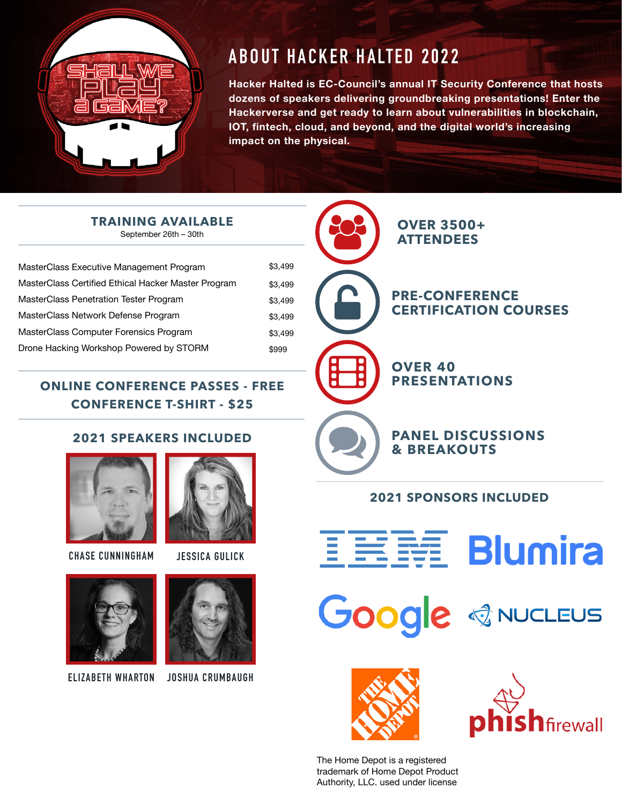

# **ABOUT HACKER HALTED 2022**

**Hacker Halted is EC-Council's annual IT Security Conference that hosts dozens of speakers delivering groundbreaking presentations! Enter the Hackerverse and get ready to learn about vulnerabilities in blockchain, IOT, fintech, cloud, and beyond, and the digital world's increasing impact on the physical.** 

**TRAINING AVAILABLE** September 26th – 30th

| MasterClass Executive Management Program            | \$3,499 |
|-----------------------------------------------------|---------|
| MasterClass Certified Ethical Hacker Master Program | \$3.499 |
| <b>MasterClass Penetration Tester Program</b>       | \$3.499 |
| MasterClass Network Defense Program                 | \$3.499 |
| MasterClass Computer Forensics Program              | \$3.499 |
|                                                     |         |

# **ONLINE CONFERENCE PASSES - FREE CONFERENCE T-SHIRT - \$25**

# **2021 SPEAKERS INCLUDED**



Drone Hacking Workshop Powered by STORM

**CHASE CUNNINGHAM JESSICA GULICK**



\$999



**ELIZABETH WHARTON JOSHUA CRUMBAUGH**





# **2021 SPONSORS INCLUDED**













The Home Depot is a registered trademark of Home Depot Product Authority, LLC. used under license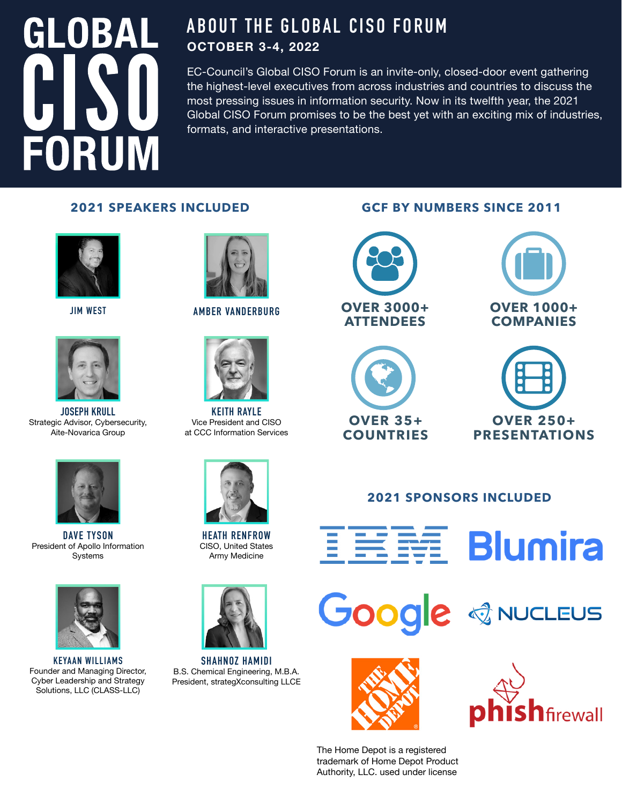# **GLOBAL FORUM**

# **ABOUT THE GLOBAL CISO FORUM OCTOBER 3-4, 2022**

EC-Council's Global CISO Forum is an invite-only, closed-door event gathering the highest-level executives from across industries and countries to discuss the most pressing issues in information security. Now in its twelfth year, the 2021 Global CISO Forum promises to be the best yet with an exciting mix of industries, formats, and interactive presentations.





**JOSEPH KRULL** Strategic Advisor, Cybersecurity, Aite-Novarica Group



**DAVE TYSON**  President of Apollo Information Systems



**KEYAAN WILLIAMS** Founder and Managing Director, Cyber Leadership and Strategy Solutions, LLC (CLASS-LLC)



**JIM WEST AMBER VANDERBURG**



**KEITH RAYLE**  Vice President and CISO at CCC Information Services



**HEATH RENFROW**  CISO, United States Army Medicine



**SHAHNOZ HAMIDI**  B.S. Chemical Engineering, M.B.A. President, strategXconsulting LLCE









# **2021 SPONSORS INCLUDED**













The Home Depot is a registered trademark of Home Depot Product Authority, LLC. used under license

# **2021 SPEAKERS INCLUDED GCF BY NUMBERS SINCE 2011**